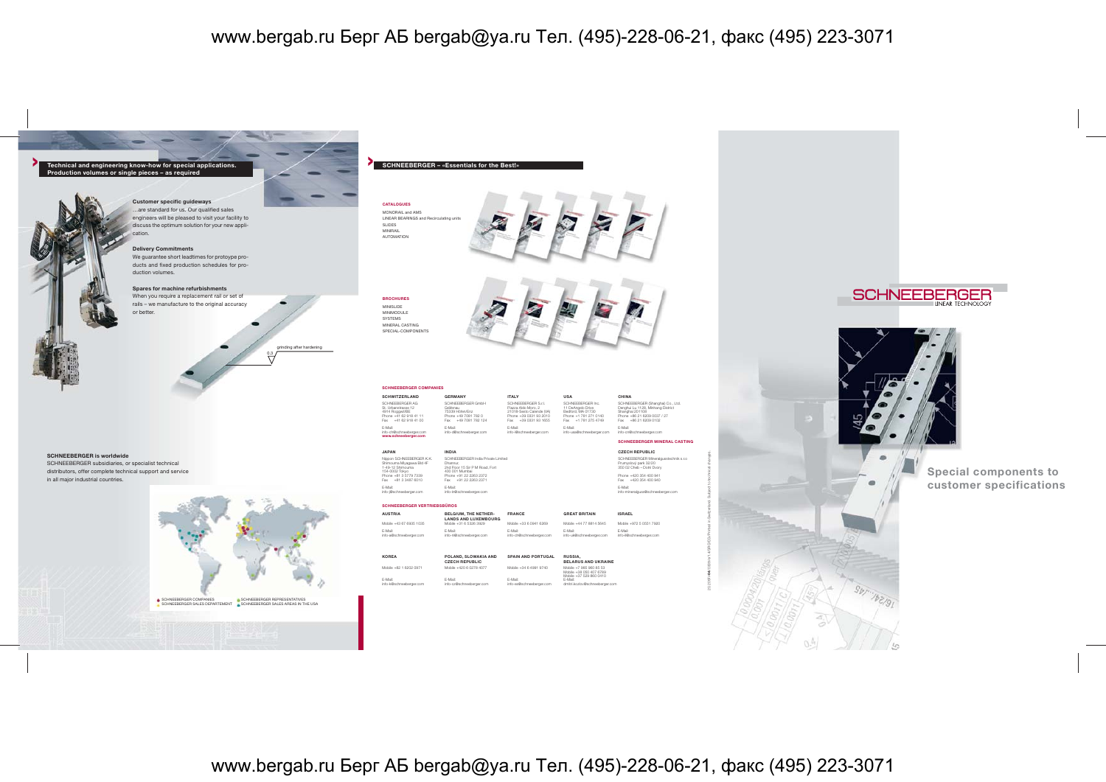

www.bergab.ru БергАБ bergab@ya.ru Тел. (495)-228-06-21, факс (495) 223-3071